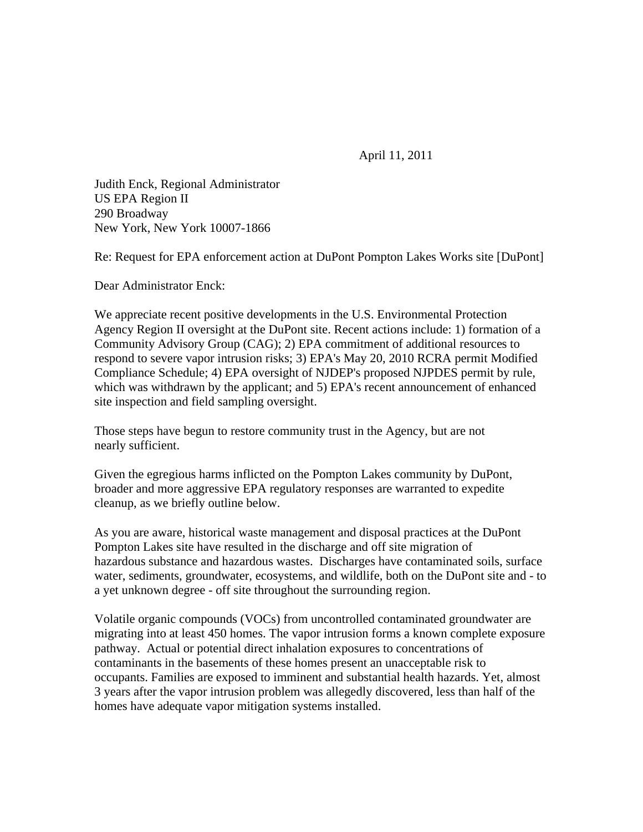April 11, 2011

Judith Enck, Regional Administrator US EPA Region II 290 Broadway New York, New York 10007-1866

Re: Request for EPA enforcement action at DuPont Pompton Lakes Works site [DuPont]

Dear Administrator Enck:

We appreciate recent positive developments in the U.S. Environmental Protection Agency Region II oversight at the DuPont site. Recent actions include: 1) formation of a Community Advisory Group (CAG); 2) EPA commitment of additional resources to respond to severe vapor intrusion risks; 3) EPA's May 20, 2010 RCRA permit Modified Compliance Schedule; 4) EPA oversight of NJDEP's proposed NJPDES permit by rule, which was withdrawn by the applicant; and 5) EPA's recent announcement of enhanced site inspection and field sampling oversight.

Those steps have begun to restore community trust in the Agency, but are not nearly sufficient.

Given the egregious harms inflicted on the Pompton Lakes community by DuPont, broader and more aggressive EPA regulatory responses are warranted to expedite cleanup, as we briefly outline below.

As you are aware, historical waste management and disposal practices at the DuPont Pompton Lakes site have resulted in the discharge and off site migration of hazardous substance and hazardous wastes. Discharges have contaminated soils, surface water, sediments, groundwater, ecosystems, and wildlife, both on the DuPont site and - to a yet unknown degree - off site throughout the surrounding region.

Volatile organic compounds (VOCs) from uncontrolled contaminated groundwater are migrating into at least 450 homes. The vapor intrusion forms a known complete exposure pathway. Actual or potential direct inhalation exposures to concentrations of contaminants in the basements of these homes present an unacceptable risk to occupants. Families are exposed to imminent and substantial health hazards. Yet, almost 3 years after the vapor intrusion problem was allegedly discovered, less than half of the homes have adequate vapor mitigation systems installed.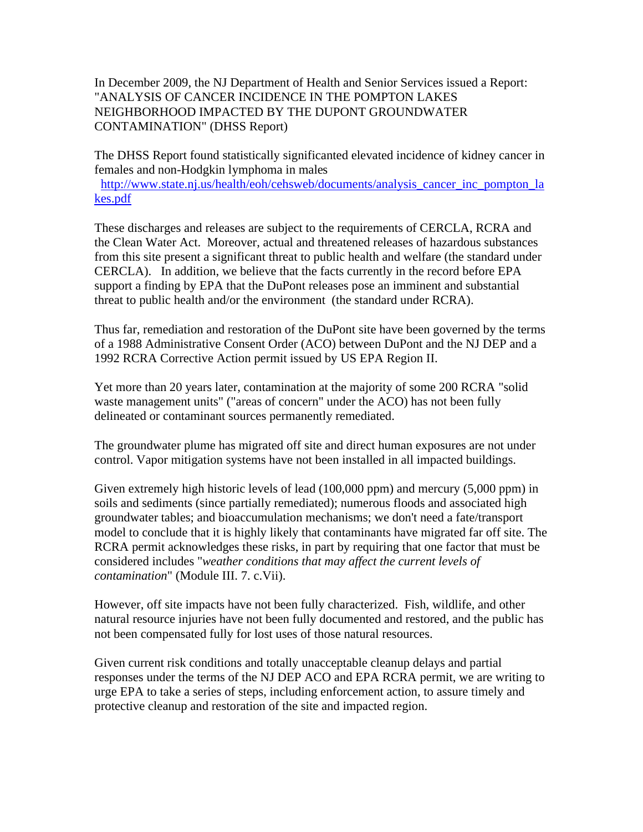In December 2009, the NJ Department of Health and Senior Services issued a Report: "ANALYSIS OF CANCER INCIDENCE IN THE POMPTON LAKES NEIGHBORHOOD IMPACTED BY THE DUPONT GROUNDWATER CONTAMINATION" (DHSS Report)

The DHSS Report found statistically significanted elevated incidence of kidney cancer in females and non-Hodgkin lymphoma in males

http://www.state.nj.us/health/eoh/cehsweb/documents/analysis\_cancer\_inc\_pompton\_la kes.pdf

These discharges and releases are subject to the requirements of CERCLA, RCRA and the Clean Water Act. Moreover, actual and threatened releases of hazardous substances from this site present a significant threat to public health and welfare (the standard under CERCLA). In addition, we believe that the facts currently in the record before EPA support a finding by EPA that the DuPont releases pose an imminent and substantial threat to public health and/or the environment (the standard under RCRA).

Thus far, remediation and restoration of the DuPont site have been governed by the terms of a 1988 Administrative Consent Order (ACO) between DuPont and the NJ DEP and a 1992 RCRA Corrective Action permit issued by US EPA Region II.

Yet more than 20 years later, contamination at the majority of some 200 RCRA "solid waste management units" ("areas of concern" under the ACO) has not been fully delineated or contaminant sources permanently remediated.

The groundwater plume has migrated off site and direct human exposures are not under control. Vapor mitigation systems have not been installed in all impacted buildings.

Given extremely high historic levels of lead (100,000 ppm) and mercury (5,000 ppm) in soils and sediments (since partially remediated); numerous floods and associated high groundwater tables; and bioaccumulation mechanisms; we don't need a fate/transport model to conclude that it is highly likely that contaminants have migrated far off site. The RCRA permit acknowledges these risks, in part by requiring that one factor that must be considered includes "*weather conditions that may affect the current levels of contamination*" (Module III. 7. c.Vii).

However, off site impacts have not been fully characterized. Fish, wildlife, and other natural resource injuries have not been fully documented and restored, and the public has not been compensated fully for lost uses of those natural resources.

Given current risk conditions and totally unacceptable cleanup delays and partial responses under the terms of the NJ DEP ACO and EPA RCRA permit, we are writing to urge EPA to take a series of steps, including enforcement action, to assure timely and protective cleanup and restoration of the site and impacted region.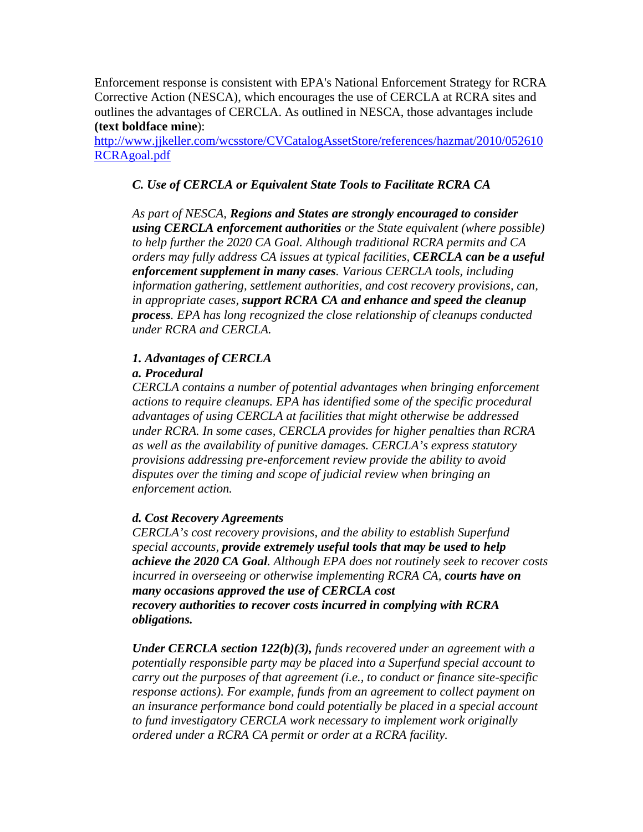Enforcement response is consistent with EPA's National Enforcement Strategy for RCRA Corrective Action (NESCA), which encourages the use of CERCLA at RCRA sites and outlines the advantages of CERCLA. As outlined in NESCA, those advantages include **(text boldface mine**):

http://www.jjkeller.com/wcsstore/CVCatalogAssetStore/references/hazmat/2010/052610 RCRAgoal.pdf

# *C. Use of CERCLA or Equivalent State Tools to Facilitate RCRA CA*

*As part of NESCA, Regions and States are strongly encouraged to consider using CERCLA enforcement authorities or the State equivalent (where possible) to help further the 2020 CA Goal. Although traditional RCRA permits and CA orders may fully address CA issues at typical facilities, CERCLA can be a useful enforcement supplement in many cases. Various CERCLA tools, including information gathering, settlement authorities, and cost recovery provisions, can, in appropriate cases, support RCRA CA and enhance and speed the cleanup process. EPA has long recognized the close relationship of cleanups conducted under RCRA and CERCLA.*

### *1. Advantages of CERCLA*

#### *a. Procedural*

*CERCLA contains a number of potential advantages when bringing enforcement actions to require cleanups. EPA has identified some of the specific procedural advantages of using CERCLA at facilities that might otherwise be addressed under RCRA. In some cases, CERCLA provides for higher penalties than RCRA as well as the availability of punitive damages. CERCLA's express statutory provisions addressing pre-enforcement review provide the ability to avoid disputes over the timing and scope of judicial review when bringing an enforcement action.* 

#### *d. Cost Recovery Agreements*

*CERCLA's cost recovery provisions, and the ability to establish Superfund special accounts, provide extremely useful tools that may be used to help achieve the 2020 CA Goal. Although EPA does not routinely seek to recover costs incurred in overseeing or otherwise implementing RCRA CA, courts have on many occasions approved the use of CERCLA cost recovery authorities to recover costs incurred in complying with RCRA obligations.* 

*Under CERCLA section 122(b)(3), funds recovered under an agreement with a potentially responsible party may be placed into a Superfund special account to carry out the purposes of that agreement (i.e., to conduct or finance site-specific response actions). For example, funds from an agreement to collect payment on an insurance performance bond could potentially be placed in a special account to fund investigatory CERCLA work necessary to implement work originally ordered under a RCRA CA permit or order at a RCRA facility.*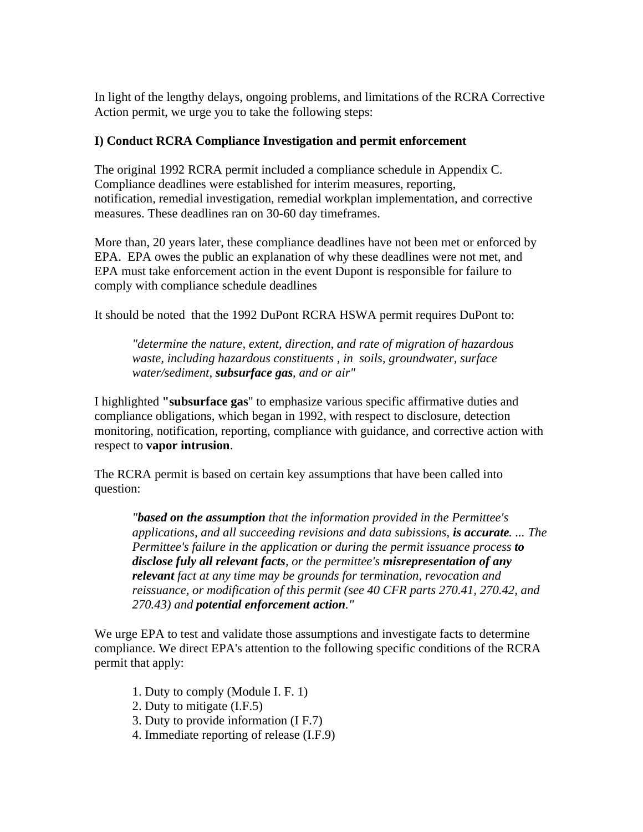In light of the lengthy delays, ongoing problems, and limitations of the RCRA Corrective Action permit, we urge you to take the following steps:

## **I) Conduct RCRA Compliance Investigation and permit enforcement**

The original 1992 RCRA permit included a compliance schedule in Appendix C. Compliance deadlines were established for interim measures, reporting, notification, remedial investigation, remedial workplan implementation, and corrective measures. These deadlines ran on 30-60 day timeframes.

More than, 20 years later, these compliance deadlines have not been met or enforced by EPA. EPA owes the public an explanation of why these deadlines were not met, and EPA must take enforcement action in the event Dupont is responsible for failure to comply with compliance schedule deadlines

It should be noted that the 1992 DuPont RCRA HSWA permit requires DuPont to:

*"determine the nature, extent, direction, and rate of migration of hazardous waste, including hazardous constituents , in soils, groundwater, surface water/sediment, subsurface gas, and or air"*

I highlighted **"subsurface gas**" to emphasize various specific affirmative duties and compliance obligations, which began in 1992, with respect to disclosure, detection monitoring, notification, reporting, compliance with guidance, and corrective action with respect to **vapor intrusion**.

The RCRA permit is based on certain key assumptions that have been called into question:

*"based on the assumption that the information provided in the Permittee's applications, and all succeeding revisions and data subissions, is accurate. ... The Permittee's failure in the application or during the permit issuance process to disclose fuly all relevant facts, or the permittee's misrepresentation of any relevant fact at any time may be grounds for termination, revocation and reissuance, or modification of this permit (see 40 CFR parts 270.41, 270.42, and 270.43) and potential enforcement action."*

We urge EPA to test and validate those assumptions and investigate facts to determine compliance. We direct EPA's attention to the following specific conditions of the RCRA permit that apply:

- 1. Duty to comply (Module I. F. 1)
- 2. Duty to mitigate (I.F.5)
- 3. Duty to provide information (I F.7)
- 4. Immediate reporting of release (I.F.9)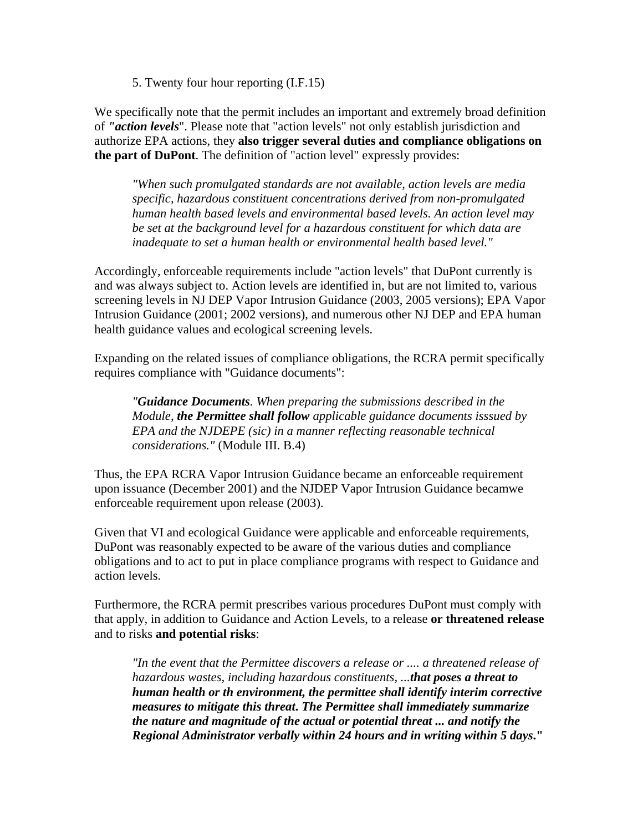5. Twenty four hour reporting (I.F.15)

We specifically note that the permit includes an important and extremely broad definition of *"action levels*". Please note that "action levels" not only establish jurisdiction and authorize EPA actions, they **also trigger several duties and compliance obligations on the part of DuPont**. The definition of "action level" expressly provides:

*"When such promulgated standards are not available, action levels are media specific, hazardous constituent concentrations derived from non-promulgated human health based levels and environmental based levels. An action level may be set at the background level for a hazardous constituent for which data are inadequate to set a human health or environmental health based level."*

Accordingly, enforceable requirements include "action levels" that DuPont currently is and was always subject to. Action levels are identified in, but are not limited to, various screening levels in NJ DEP Vapor Intrusion Guidance (2003, 2005 versions); EPA Vapor Intrusion Guidance (2001; 2002 versions), and numerous other NJ DEP and EPA human health guidance values and ecological screening levels.

Expanding on the related issues of compliance obligations, the RCRA permit specifically requires compliance with "Guidance documents":

*"Guidance Documents. When preparing the submissions described in the Module, the Permittee shall follow applicable guidance documents isssued by EPA and the NJDEPE (sic) in a manner reflecting reasonable technical considerations."* (Module III. B.4)

Thus, the EPA RCRA Vapor Intrusion Guidance became an enforceable requirement upon issuance (December 2001) and the NJDEP Vapor Intrusion Guidance becamwe enforceable requirement upon release (2003).

Given that VI and ecological Guidance were applicable and enforceable requirements, DuPont was reasonably expected to be aware of the various duties and compliance obligations and to act to put in place compliance programs with respect to Guidance and action levels.

Furthermore, the RCRA permit prescribes various procedures DuPont must comply with that apply, in addition to Guidance and Action Levels, to a release **or threatened release**  and to risks **and potential risks**:

*"In the event that the Permittee discovers a release or .... a threatened release of hazardous wastes, including hazardous constituents, ...that poses a threat to human health or th environment, the permittee shall identify interim corrective measures to mitigate this threat***.** *The Permittee shall immediately summarize the nature and magnitude of the actual or potential threat ... and notify the Regional Administrator verbally within 24 hours and in writing within 5 days***."**